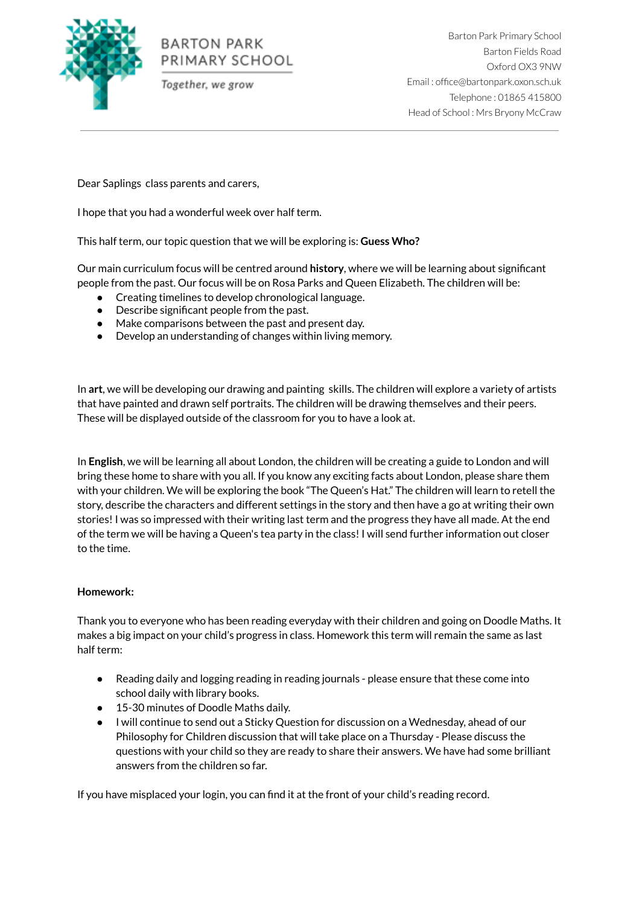

# **BARTON PARK** PRIMARY SCHOOL

Together, we grow

Barton Park Primary School Barton Fields Road Oxford OX3 9NW Email : office@bartonpark.oxon.sch.uk Telephone : 01865 415800 Head of School : Mrs Bryony McCraw

Dear Saplings class parents and carers,

I hope that you had a wonderful week over half term.

This half term, our topic question that we will be exploring is: **Guess Who?**

Our main curriculum focus will be centred around **history**, where we will be learning about significant people from the past. Our focus will be on Rosa Parks and Queen Elizabeth. The children will be:

- Creating timelines to develop chronological language.
- Describe significant people from the past.
- Make comparisons between the past and present day.
- Develop an understanding of changes within living memory.

In **art**, we will be developing our drawing and painting skills. The children will explore a variety of artists that have painted and drawn self portraits. The children will be drawing themselves and their peers. These will be displayed outside of the classroom for you to have a look at.

In **English**, we will be learning all about London, the children will be creating a guide to London and will bring these home to share with you all. If you know any exciting facts about London, please share them with your children. We will be exploring the book "The Queen's Hat." The children will learn to retell the story, describe the characters and different settings in the story and then have a go at writing their own stories! I was so impressed with their writing last term and the progress they have all made. At the end of the term we will be having a Queen's tea party in the class! I will send further information out closer to the time.

## **Homework:**

Thank you to everyone who has been reading everyday with their children and going on Doodle Maths. It makes a big impact on your child's progress in class. Homework this term will remain the same as last half term:

- Reading daily and logging reading in reading journals please ensure that these come into school daily with library books.
- 15-30 minutes of Doodle Maths daily.
- I will continue to send out a Sticky Question for discussion on a Wednesday, ahead of our Philosophy for Children discussion that will take place on a Thursday - Please discuss the questions with your child so they are ready to share their answers. We have had some brilliant answers from the children so far.

If you have misplaced your login, you can find it at the front of your child's reading record.